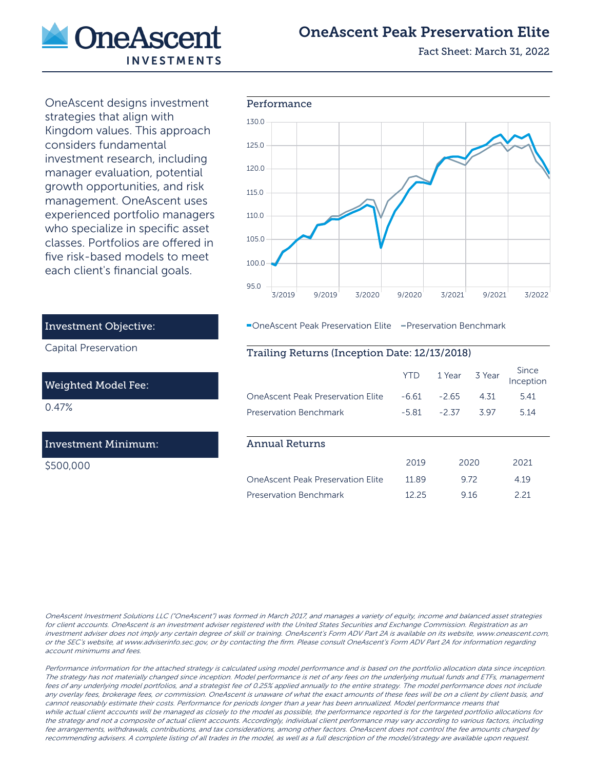

# OneAscent Peak Preservation Elite

Fact Sheet: March 31, 2022

OneAscent designs investment each client's financial goals.



**-OneAscent Peak Preservation Elite - Preservation Benchmark** 

## Trailing Returns (Inception Date: 12/13/2018)

|                                          | YTD     | 1 Year  | 3 Year | Since<br>Inception |
|------------------------------------------|---------|---------|--------|--------------------|
| <b>OneAscent Peak Preservation Elite</b> | $-6.61$ | $-2.65$ | 4 31   | 5.41               |
| Preservation Benchmark                   | $-5.81$ | $-2.37$ | 397    | 514                |
|                                          |         |         |        |                    |
| Annual Returns                           |         |         |        |                    |
|                                          | 2019    | 2020    |        | 2021               |
| <b>OneAscent Peak Preservation Flite</b> | 11.89   |         | 9.72   | 4.19               |
| Preservation Benchmark                   | 12.25   | 916     |        | 2 21               |

strategies that align with Kingdom values. This approach considers fundamental investment research, including manager evaluation, potential growth opportunities, and risk management. OneAscent uses experienced portfolio managers who specialize in specific asset classes. Portfolios are offered in five risk-based models to meet

# Investment Objective:

Capital Preservation

#### Weighted Model Fee:

0.47%

# Investment Minimum:

\$500,000

OneAscent Investment Solutions LLC ("OneAscent") was formed in March 2017, and manages a variety of equity, income and balanced asset strategies for client accounts. OneAscent is an investment adviser registered with the United States Securities and Exchange Commission. Registration as an investment adviser does not imply any certain degree of skill or training. OneAscent's Form ADV Part 2A is available on its website, www.oneascent.com, or the SEC's website, at www.adviserinfo.sec.gov, or by contacting the firm. Please consult OneAscent's Form ADV Part 2A for information regarding account minimums and fees.

Performance information for the attached strategy is calculated using model performance and is based on the portfolio allocation data since inception. The strategy has not materially changed since inception. Model performance is net of any fees on the underlying mutual funds and ETFs, management fees of any underlying model portfolios, and a strategist fee of 0.25% applied annually to the entire strategy. The model performance does not include any overlay fees, brokerage fees, or commission. OneAscent is unaware of what the exact amounts of these fees will be on a client by client basis, and cannot reasonably estimate their costs. Performance for periods longer than a year has been annualized. Model performance means that while actual client accounts will be managed as closely to the model as possible, the performance reported is for the targeted portfolio allocations for the strategy and not a composite of actual client accounts. Accordingly, individual client performance may vary according to various factors, including fee arrangements, withdrawals, contributions, and tax considerations, among other factors. OneAscent does not control the fee amounts charged by recommending advisers. A complete listing of all trades in the model, as well as a full description of the model/strategy are available upon request.

#### Performance